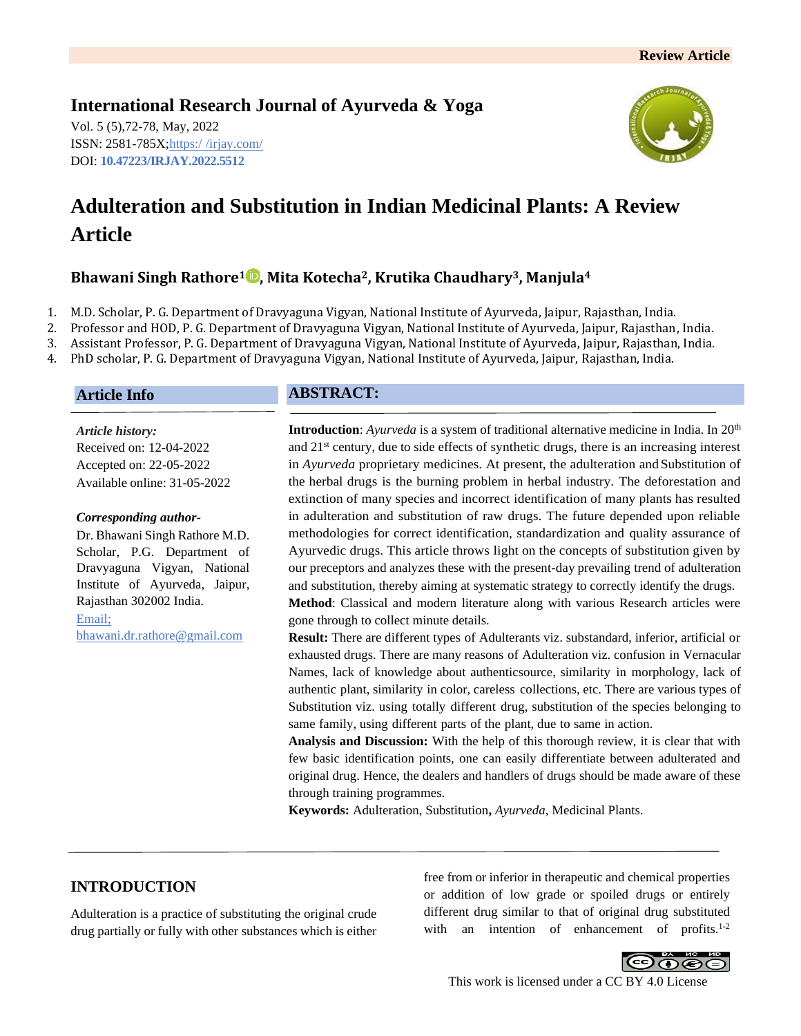# **International Research Journal of Ayurveda & Yoga**

Vol. 5 (5),72-78, May, 2022 ISSN: 2581-785X; https:/ [/irjay.com/](https://irjay.com/) DOI: **10.47223/IRJAY.2022.5512**



# **Adulteration and Substitution in Indian Medicinal Plants: A Review Article**

# **Bhawani Singh Rathore<sup>1</sup> , Mita Kotecha2, Krutika Chaudhary3, Manjula<sup>4</sup>**

1. M.D. Scholar, P. G. Department of Dravyaguna Vigyan, National Institute of Ayurveda, Jaipur, Rajasthan, India.

2. Professor and HOD, P. G. Department of Dravyaguna Vigyan, National Institute of Ayurveda, Jaipur, Rajasthan, India.

3. Assistant Professor, P. G. Department of Dravyaguna Vigyan, National Institute of Ayurveda, Jaipur, Rajasthan, India.

4. PhD scholar, P. G. Department of Dravyaguna Vigyan, National Institute of Ayurveda, Jaipur, Rajasthan, India.

## **Article Info**

*Article history:* Received on: 12-04-2022 Accepted on: 22-05-2022 Available online: 31-05-2022

#### *Corresponding author-*

Dr. Bhawani Singh Rathore M.D. Scholar, P.G. Department of Dravyaguna Vigyan, National Institute of Ayurveda, Jaipur, Rajasthan 302002 India. Email;

bhawani.dr.rathore@gmail.com

## **ABSTRACT:**

**Introduction**: *Ayurveda* is a system of traditional alternative medicine in India. In 20<sup>th</sup> and 21st century, due to side effects of synthetic drugs, there is an increasing interest in *Ayurveda* proprietary medicines. At present, the adulteration and Substitution of the herbal drugs is the burning problem in herbal industry. The deforestation and extinction of many species and incorrect identification of many plants has resulted in adulteration and substitution of raw drugs. The future depended upon reliable methodologies for correct identification, standardization and quality assurance of Ayurvedic drugs. This article throws light on the concepts of substitution given by our preceptors and analyzes these with the present-day prevailing trend of adulteration and substitution, thereby aiming at systematic strategy to correctly identify the drugs. **Method**: Classical and modern literature along with various Research articles were gone through to collect minute details.

**Result:** There are different types of Adulterants viz. substandard, inferior, artificial or exhausted drugs. There are many reasons of Adulteration viz. confusion in Vernacular Names, lack of knowledge about authenticsource, similarity in morphology, lack of authentic plant, similarity in color, careless collections, etc. There are various types of Substitution viz. using totally different drug, substitution of the species belonging to same family, using different parts of the plant, due to same in action.

**Analysis and Discussion:** With the help of this thorough review, it is clear that with few basic identification points, one can easily differentiate between adulterated and original drug. Hence, the dealers and handlers of drugs should be made aware of these through training programmes.

**Keywords:** Adulteration, Substitution**,** *Ayurveda,* Medicinal Plants.

# **INTRODUCTION**

Adulteration is a practice of substituting the original crude drug partially or fully with other substances which is either free from or inferior in therapeutic and chemical properties or addition of low grade or spoiled drugs or entirely different drug similar to that of original drug substituted with an intention of enhancement of profits.<sup>1-2</sup>

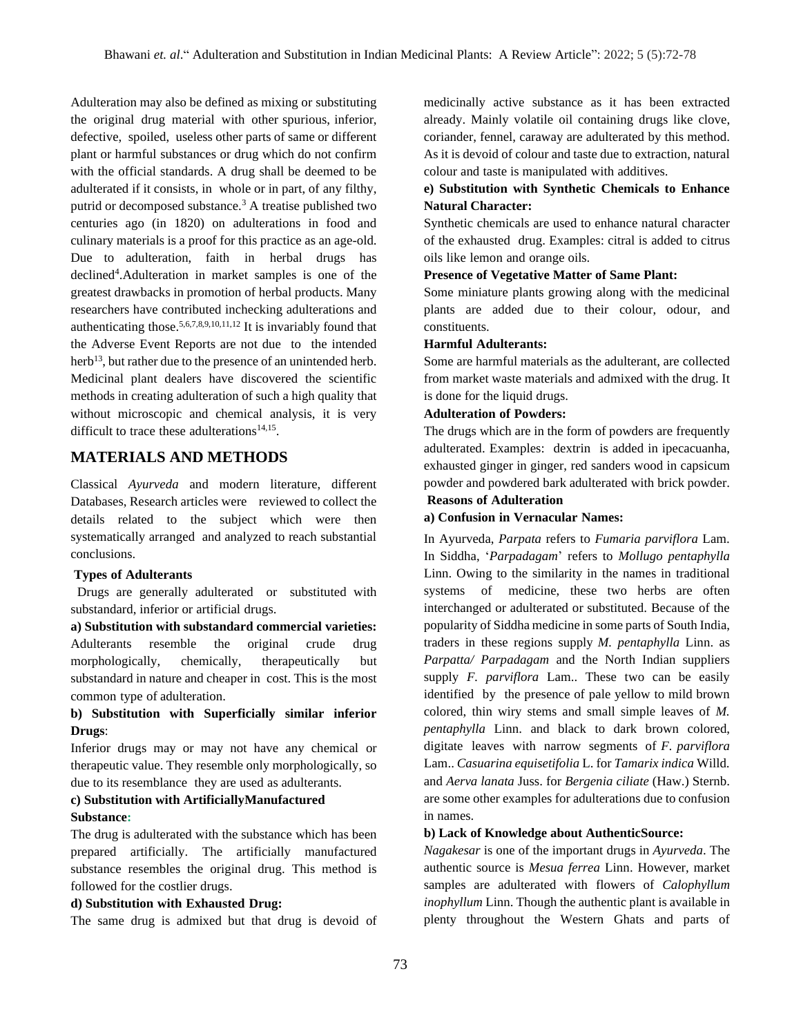Adulteration may also be defined as mixing or substituting the original drug material with other spurious, inferior, defective, spoiled, useless other parts of same or different plant or harmful substances or drug which do not confirm with the official standards. A drug shall be deemed to be adulterated if it consists, in whole or in part, of any filthy, putrid or decomposed substance.<sup>3</sup> A treatise published two centuries ago (in 1820) on adulterations in food and culinary materials is a proof for this practice as an age-old. Due to adulteration, faith in herbal drugs has declined<sup>4</sup>. Adulteration in market samples is one of the greatest drawbacks in promotion of herbal products. Many researchers have contributed inchecking adulterations and authenticating those.5,6,7,8,9,10,11,12 It is invariably found that the Adverse Event Reports are not due to the intended herb<sup>13</sup>, but rather due to the presence of an unintended herb. Medicinal plant dealers have discovered the scientific methods in creating adulteration of such a high quality that without microscopic and chemical analysis, it is very difficult to trace these adulterations $14,15$ .

## **MATERIALS AND METHODS**

Classical *Ayurveda* and modern literature, different Databases, Research articles were reviewed to collect the details related to the subject which were then systematically arranged and analyzed to reach substantial conclusions.

#### **Types of Adulterants**

 Drugs are generally adulterated or substituted with substandard, inferior or artificial drugs.

**a) Substitution with substandard commercial varieties:** Adulterants resemble the original crude drug morphologically, chemically, therapeutically but substandard in nature and cheaper in cost. This is the most common type of adulteration.

## **b) Substitution with Superficially similar inferior Drugs**:

Inferior drugs may or may not have any chemical or therapeutic value. They resemble only morphologically, so due to its resemblance they are used as adulterants.

## **c) Substitution with ArtificiallyManufactured Substance:**

The drug is adulterated with the substance which has been prepared artificially. The artificially manufactured substance resembles the original drug. This method is followed for the costlier drugs.

#### **d) Substitution with Exhausted Drug:**

The same drug is admixed but that drug is devoid of

medicinally active substance as it has been extracted already. Mainly volatile oil containing drugs like clove, coriander, fennel, caraway are adulterated by this method. As it is devoid of colour and taste due to extraction, natural colour and taste is manipulated with additives.

## **e) Substitution with Synthetic Chemicals to Enhance Natural Character:**

Synthetic chemicals are used to enhance natural character of the exhausted drug. Examples: citral is added to citrus oils like lemon and orange oils.

#### **Presence of Vegetative Matter of Same Plant:**

Some miniature plants growing along with the medicinal plants are added due to their colour, odour, and constituents.

#### **Harmful Adulterants:**

Some are harmful materials as the adulterant, are collected from market waste materials and admixed with the drug. It is done for the liquid drugs.

#### **Adulteration of Powders:**

The drugs which are in the form of powders are frequently adulterated. Examples: dextrin is added in ipecacuanha, exhausted ginger in ginger, red sanders wood in capsicum powder and powdered bark adulterated with brick powder.

## **Reasons of Adulteration**

#### **a) Confusion in Vernacular Names:**

In Ayurveda, *Parpata* refers to *Fumaria parviflora* Lam. In Siddha, '*Parpadagam*' refers to *Mollugo pentaphylla*  Linn. Owing to the similarity in the names in traditional systems of medicine, these two herbs are often interchanged or adulterated or substituted. Because of the popularity of Siddha medicine in some parts of South India, traders in these regions supply *M. pentaphylla* Linn. as *Parpatta/ Parpadagam* and the North Indian suppliers supply *F. parviflora* Lam.. These two can be easily identified by the presence of pale yellow to mild brown colored, thin wiry stems and small simple leaves of *M. pentaphylla* Linn. and black to dark brown colored, digitate leaves with narrow segments of *F. parviflora*  Lam.. *Casuarina equisetifolia* L. for *Tamarix indica* Willd. and *Aerva lanata* Juss. for *Bergenia ciliate* (Haw.) Sternb. are some other examples for adulterations due to confusion in names.

#### **b) Lack of Knowledge about AuthenticSource:**

*Nagakesar* is one of the important drugs in *Ayurveda*. The authentic source is *Mesua ferrea* Linn. However, market samples are adulterated with flowers of *Calophyllum inophyllum* Linn. Though the authentic plant is available in plenty throughout the Western Ghats and parts of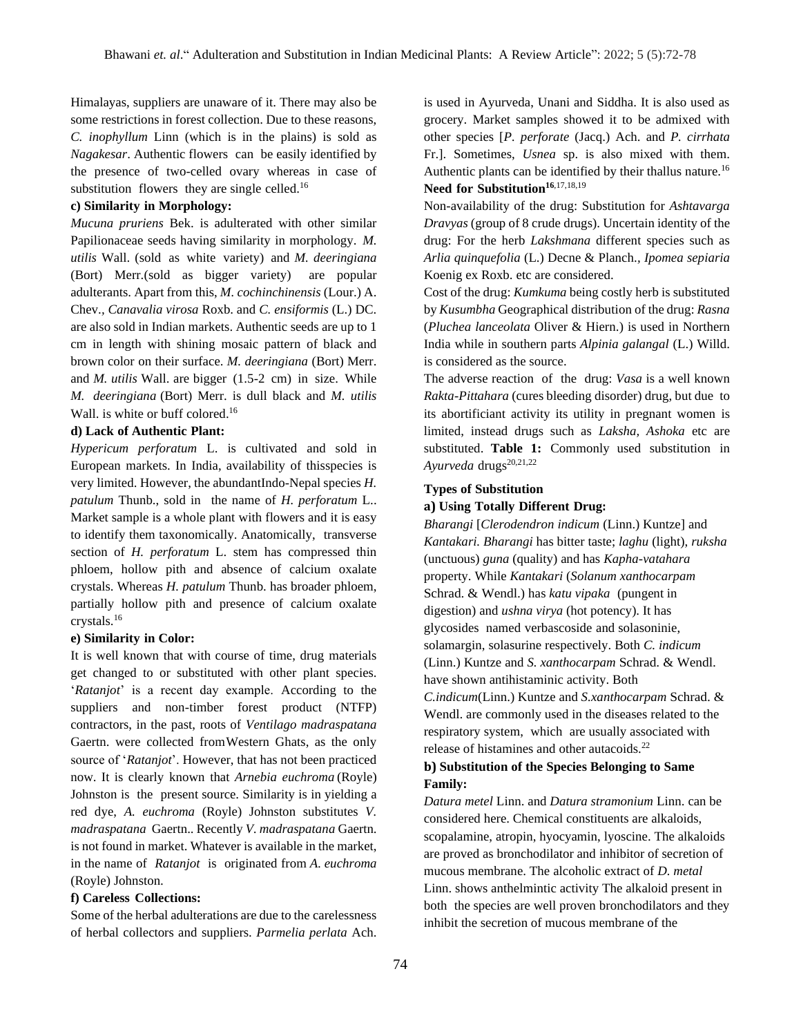Himalayas, suppliers are unaware of it. There may also be some restrictions in forest collection. Due to these reasons, *C. inophyllum* Linn (which is in the plains) is sold as *Nagakesar*. Authentic flowers can be easily identified by the presence of two-celled ovary whereas in case of substitution flowers they are single celled.<sup>16</sup>

#### **c) Similarity in Morphology:**

*Mucuna pruriens* Bek. is adulterated with other similar Papilionaceae seeds having similarity in morphology. *M. utilis* Wall. (sold as white variety) and *M. deeringiana*  (Bort) Merr.(sold as bigger variety) are popular adulterants. Apart from this, *M. cochinchinensis* (Lour.) A. Chev.*, Canavalia virosa* Roxb. and *C. ensiformis* (L.) DC. are also sold in Indian markets. Authentic seeds are up to 1 cm in length with shining mosaic pattern of black and brown color on their surface. *M. deeringiana* (Bort) Merr. and *M. utilis* Wall. are bigger (1.5-2 cm) in size. While *M. deeringiana* (Bort) Merr. is dull black and *M. utilis*  Wall. is white or buff colored.<sup>16</sup>

#### **d) Lack of Authentic Plant:**

*Hypericum perforatum* L. is cultivated and sold in European markets. In India, availability of thisspecies is very limited. However, the abundantIndo-Nepal species *H. patulum* Thunb., sold in the name of *H. perforatum* L.. Market sample is a whole plant with flowers and it is easy to identify them taxonomically. Anatomically, transverse section of *H. perforatum* L. stem has compressed thin phloem, hollow pith and absence of calcium oxalate crystals. Whereas *H. patulum* Thunb. has broader phloem, partially hollow pith and presence of calcium oxalate crystals.<sup>16</sup>

#### **e) Similarity in Color:**

It is well known that with course of time, drug materials get changed to or substituted with other plant species. '*Ratanjot*' is a recent day example. According to the suppliers and non-timber forest product (NTFP) contractors, in the past, roots of *Ventilago madraspatana*  Gaertn. were collected fromWestern Ghats, as the only source of '*Ratanjot*'. However, that has not been practiced now. It is clearly known that *Arnebia euchroma* (Royle) Johnston is the present source. Similarity is in yielding a red dye, *A. euchroma* (Royle) Johnston substitutes *V. madraspatana* Gaertn.. Recently *V. madraspatana* Gaertn. is not found in market. Whatever is available in the market, in the name of *Ratanjot* is originated from *A. euchroma*  (Royle) Johnston*.* 

#### **f) Careless Collections:**

Some of the herbal adulterations are due to the carelessness of herbal collectors and suppliers. *Parmelia perlata* Ach. is used in Ayurveda, Unani and Siddha. It is also used as grocery. Market samples showed it to be admixed with other species [*P. perforate* (Jacq.) Ach. and *P. cirrhata*  Fr.]. Sometimes, *Usnea* sp. is also mixed with them. Authentic plants can be identified by their thallus nature.<sup>16</sup> **Need for Substitution<sup>16</sup>**,17,18,19

Non-availability of the drug: Substitution for *Ashtavarga Dravyas* (group of 8 crude drugs). Uncertain identity of the drug: For the herb *Lakshmana* different species such as *Arlia quinquefolia* (L.) Decne & Planch.*, Ipomea sepiaria*  Koenig ex Roxb. etc are considered.

Cost of the drug: *Kumkuma* being costly herb is substituted by *Kusumbha* Geographical distribution of the drug: *Rasna* (*Pluchea lanceolata* Oliver & Hiern.) is used in Northern India while in southern parts *Alpinia galangal* (L.) Willd. is considered as the source.

The adverse reaction of the drug: *Vasa* is a well known *Rakta-Pittahara* (cures bleeding disorder) drug, but due to its abortificiant activity its utility in pregnant women is limited, instead drugs such as *Laksha, Ashoka* etc are substituted. **Table 1:** Commonly used substitution in Ayurveda drugs<sup>20,21,22</sup>

#### **Types of Substitution**

#### **a) Using Totally Different Drug:**

*Bharangi* [*Clerodendron indicum* (Linn.) Kuntze] and *Kantakari. Bharangi* has bitter taste; *laghu* (light), *ruksha* (unctuous) *guna* (quality) and has *Kapha-vatahara* property. While *Kantakari* (*Solanum xanthocarpam*  Schrad. & Wendl.) has *katu vipaka* (pungent in digestion) and *ushna virya* (hot potency). It has glycosides named verbascoside and solasoninie, solamargin, solasurine respectively. Both *C. indicum*  (Linn.) Kuntze and *S. xanthocarpam* Schrad. & Wendl. have shown antihistaminic activity. Both *C.indicum*(Linn.) Kuntze and *S.xanthocarpam* Schrad. & Wendl. are commonly used in the diseases related to the respiratory system, which are usually associated with release of histamines and other autacoids.<sup>22</sup>

## **b) Substitution of the Species Belonging to Same Family:**

*Datura metel* Linn. and *Datura stramonium* Linn. can be considered here. Chemical constituents are alkaloids, scopalamine, atropin, hyocyamin, lyoscine. The alkaloids are proved as bronchodilator and inhibitor of secretion of mucous membrane. The alcoholic extract of *D. metal*  Linn. shows anthelmintic activity The alkaloid present in both the species are well proven bronchodilators and they inhibit the secretion of mucous membrane of the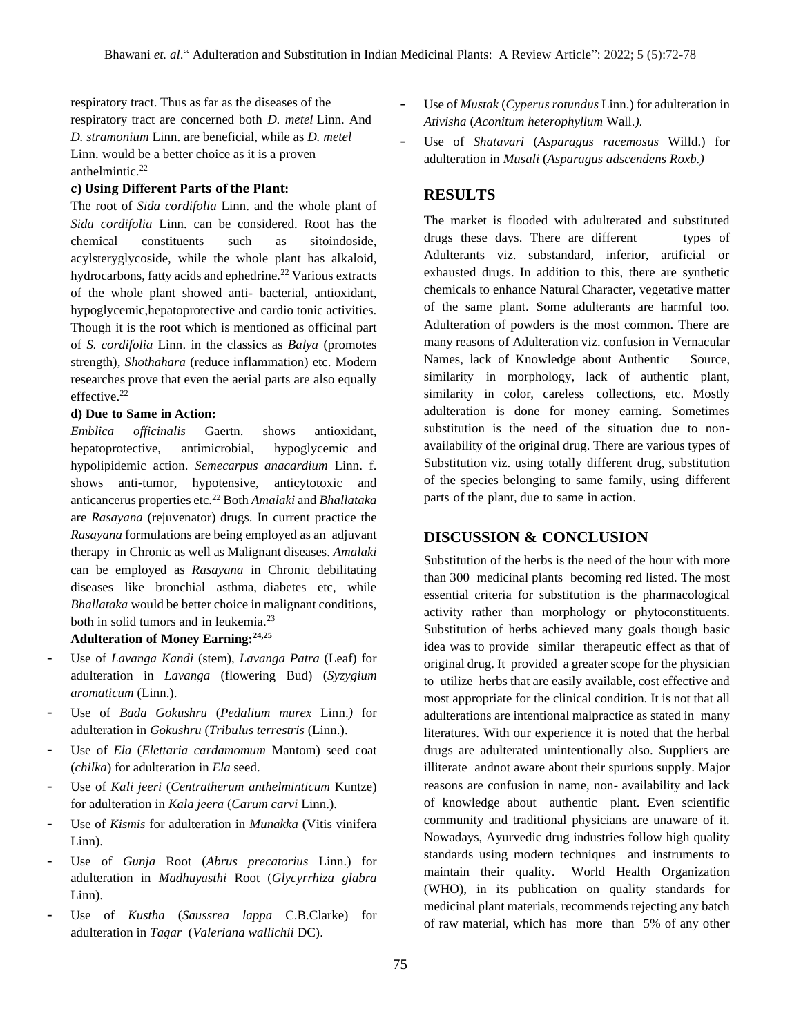respiratory tract. Thus as far as the diseases of the respiratory tract are concerned both *D. metel* Linn. And *D. stramonium* Linn. are beneficial, while as *D. metel*  Linn. would be a better choice as it is a proven anthelmintic.<sup>22</sup>

#### **c) Using Different Parts of the Plant:**

The root of *Sida cordifolia* Linn. and the whole plant of *Sida cordifolia* Linn. can be considered. Root has the chemical constituents such as sitoindoside, acylsteryglycoside, while the whole plant has alkaloid, hydrocarbons, fatty acids and ephedrine.<sup>22</sup> Various extracts of the whole plant showed anti- bacterial, antioxidant, hypoglycemic,hepatoprotective and cardio tonic activities. Though it is the root which is mentioned as officinal part of *S. cordifolia* Linn. in the classics as *Balya* (promotes strength)*, Shothahara* (reduce inflammation) etc. Modern researches prove that even the aerial parts are also equally effective.<sup>22</sup>

#### **d) Due to Same in Action:**

*Emblica officinalis* Gaertn. shows antioxidant, hepatoprotective, antimicrobial, hypoglycemic and hypolipidemic action. *Semecarpus anacardium* Linn. f. shows anti-tumor, hypotensive, anticytotoxic and anticancerus properties etc.<sup>22</sup> Both *Amalaki* and *Bhallataka* are *Rasayana* (rejuvenator) drugs. In current practice the *Rasayana* formulations are being employed as an adjuvant therapy in Chronic as well as Malignant diseases. *Amalaki* can be employed as *Rasayana* in Chronic debilitating diseases like bronchial asthma, diabetes etc, while *Bhallataka* would be better choice in malignant conditions, both in solid tumors and in leukemia.<sup>23</sup>

#### **Adulteration of Money Earning:24,25**

- Use of *Lavanga Kandi* (stem), *Lavanga Patra* (Leaf) for adulteration in *Lavanga* (flowering Bud) (*Syzygium aromaticum* (Linn.).
- Use of *Bada Gokushru* (*Pedalium murex* Linn.*)* for adulteration in *Gokushru* (*Tribulus terrestris* (Linn.).
- Use of *Ela* (*Elettaria cardamomum* Mantom) seed coat (*chilka*) for adulteration in *Ela* seed.
- Use of *Kali jeeri* (*Centratherum anthelminticum* Kuntze) for adulteration in *Kala jeera* (*Carum carvi* Linn.).
- Use of *Kismis* for adulteration in *Munakka* (Vitis vinifera Linn).
- Use of *Gunja* Root (*Abrus precatorius* Linn.) for adulteration in *Madhuyasthi* Root (*Glycyrrhiza glabra*  Linn).
- Use of *Kustha* (*Saussrea lappa* C.B.Clarke) for adulteration in *Tagar* (*Valeriana wallichii* DC).
- Use of *Mustak* (*Cyperus rotundus* Linn.) for adulteration in *Ativisha* (*Aconitum heterophyllum* Wall.*).*
- Use of *Shatavari* (*Asparagus racemosus* Willd.) for adulteration in *Musali* (*Asparagus adscendens Roxb.)*

## **RESULTS**

The market is flooded with adulterated and substituted drugs these days. There are different types of Adulterants viz. substandard, inferior, artificial or exhausted drugs. In addition to this, there are synthetic chemicals to enhance Natural Character, vegetative matter of the same plant. Some adulterants are harmful too. Adulteration of powders is the most common. There are many reasons of Adulteration viz. confusion in Vernacular Names, lack of Knowledge about Authentic Source, similarity in morphology, lack of authentic plant, similarity in color, careless collections, etc. Mostly adulteration is done for money earning. Sometimes substitution is the need of the situation due to nonavailability of the original drug. There are various types of Substitution viz. using totally different drug, substitution of the species belonging to same family, using different parts of the plant, due to same in action.

## **DISCUSSION & CONCLUSION**

Substitution of the herbs is the need of the hour with more than 300 medicinal plants becoming red listed. The most essential criteria for substitution is the pharmacological activity rather than morphology or phytoconstituents. Substitution of herbs achieved many goals though basic idea was to provide similar therapeutic effect as that of original drug. It provided a greater scope for the physician to utilize herbs that are easily available, cost effective and most appropriate for the clinical condition. It is not that all adulterations are intentional malpractice as stated in many literatures. With our experience it is noted that the herbal drugs are adulterated unintentionally also. Suppliers are illiterate andnot aware about their spurious supply. Major reasons are confusion in name, non- availability and lack of knowledge about authentic plant. Even scientific community and traditional physicians are unaware of it. Nowadays, Ayurvedic drug industries follow high quality standards using modern techniques and instruments to maintain their quality. World Health Organization (WHO), in its publication on quality standards for medicinal plant materials, recommends rejecting any batch of raw material, which has more than 5% of any other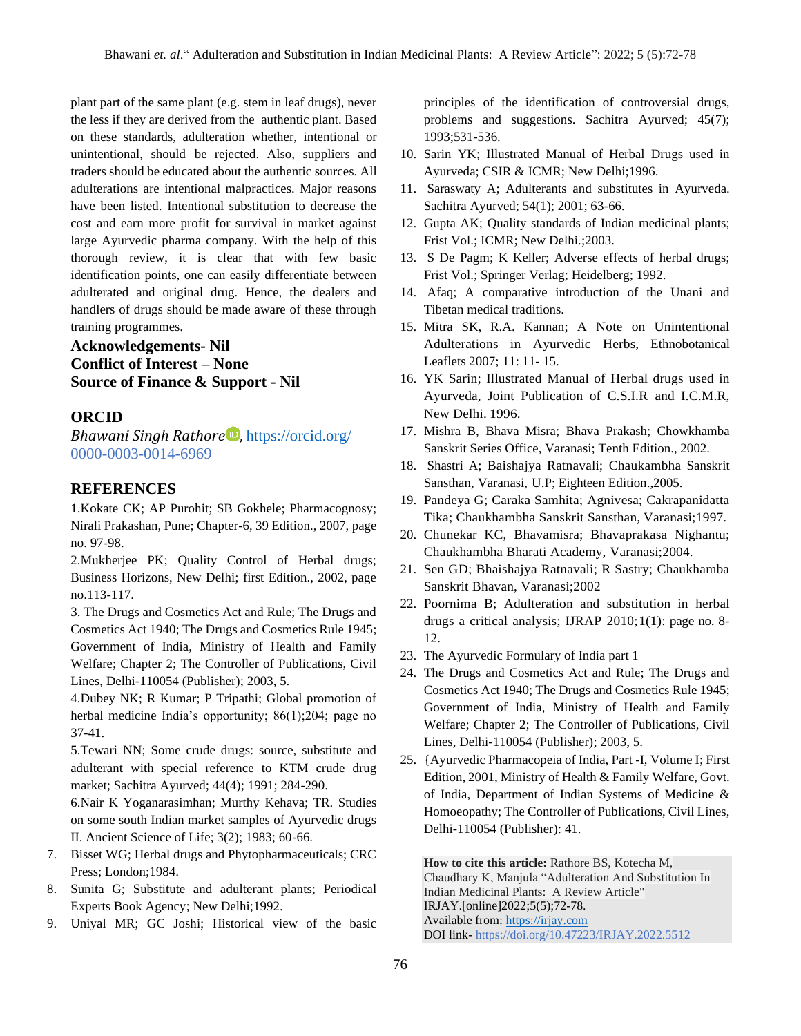plant part of the same plant (e.g. stem in leaf drugs), never the less if they are derived from the authentic plant. Based on these standards, adulteration whether, intentional or unintentional, should be rejected. Also, suppliers and traders should be educated about the authentic sources. All adulterations are intentional malpractices. Major reasons have been listed. Intentional substitution to decrease the cost and earn more profit for survival in market against large Ayurvedic pharma company. With the help of this thorough review, it is clear that with few basic identification points, one can easily differentiate between adulterated and original drug. Hence, the dealers and handlers of drugs should be made aware of these through training programmes.

# **Acknowledgements- Nil Conflict of Interest – None Source of Finance & Support - Nil**

## **ORCID**

*Bhawani Singh Rathore* , <https://orcid.org/> 0000-0003-0014-6969

## **REFERENCES**

1.Kokate CK; AP Purohit; SB Gokhele; Pharmacognosy; Nirali Prakashan, Pune; Chapter-6, 39 Edition., 2007, page no. 97-98.

2.Mukherjee PK; Quality Control of Herbal drugs; Business Horizons, New Delhi; first Edition., 2002, page no.113-117.

3. The Drugs and Cosmetics Act and Rule; The Drugs and Cosmetics Act 1940; The Drugs and Cosmetics Rule 1945; Government of India, Ministry of Health and Family Welfare; Chapter 2; The Controller of Publications, Civil Lines, Delhi-110054 (Publisher); 2003, 5.

4.Dubey NK; R Kumar; P Tripathi; Global promotion of herbal medicine India's opportunity; 86(1);204; page no 37-41.

5.Tewari NN; Some crude drugs: source, substitute and adulterant with special reference to KTM crude drug market; Sachitra Ayurved; 44(4); 1991; 284-290.

6.Nair K Yoganarasimhan; Murthy Kehava; TR. Studies on some south Indian market samples of Ayurvedic drugs II. Ancient Science of Life; 3(2); 1983; 60-66.

- 7. Bisset WG; Herbal drugs and Phytopharmaceuticals; CRC Press; London;1984.
- 8. Sunita G; Substitute and adulterant plants; Periodical Experts Book Agency; New Delhi;1992.
- 9. Uniyal MR; GC Joshi; Historical view of the basic

principles of the identification of controversial drugs, problems and suggestions. Sachitra Ayurved; 45(7); 1993;531-536.

- 10. Sarin YK; Illustrated Manual of Herbal Drugs used in Ayurveda; CSIR & ICMR; New Delhi;1996.
- 11. Saraswaty A; Adulterants and substitutes in Ayurveda. Sachitra Ayurved; 54(1); 2001; 63-66.
- 12. Gupta AK; Quality standards of Indian medicinal plants; Frist Vol.; ICMR; New Delhi.;2003.
- 13. S De Pagm; K Keller; Adverse effects of herbal drugs; Frist Vol.; Springer Verlag; Heidelberg; 1992.
- 14. Afaq; A comparative introduction of the Unani and Tibetan medical traditions.
- 15. Mitra SK, R.A. Kannan; A Note on Unintentional Adulterations in Ayurvedic Herbs, Ethnobotanical Leaflets 2007; 11: 11- 15.
- 16. YK Sarin; Illustrated Manual of Herbal drugs used in Ayurveda, Joint Publication of C.S.I.R and I.C.M.R, New Delhi. 1996.
- 17. Mishra B, Bhava Misra; Bhava Prakash; Chowkhamba Sanskrit Series Office, Varanasi; Tenth Edition., 2002.
- 18. Shastri A; Baishajya Ratnavali; Chaukambha Sanskrit Sansthan, Varanasi, U.P; Eighteen Edition.,2005.
- 19. Pandeya G; Caraka Samhita; Agnivesa; Cakrapanidatta Tika; Chaukhambha Sanskrit Sansthan, Varanasi;1997.
- 20. Chunekar KC, Bhavamisra; Bhavaprakasa Nighantu; Chaukhambha Bharati Academy, Varanasi;2004.
- 21. Sen GD; Bhaishajya Ratnavali; R Sastry; Chaukhamba Sanskrit Bhavan, Varanasi;2002
- 22. Poornima B; Adulteration and substitution in herbal drugs a critical analysis; IJRAP 2010;1(1): page no. 8- 12.
- 23. The Ayurvedic Formulary of India part 1
- 24. The Drugs and Cosmetics Act and Rule; The Drugs and Cosmetics Act 1940; The Drugs and Cosmetics Rule 1945; Government of India, Ministry of Health and Family Welfare; Chapter 2; The Controller of Publications, Civil Lines, Delhi-110054 (Publisher); 2003, 5.
- 25. {Ayurvedic Pharmacopeia of India, Part -I, Volume I; First Edition, 2001, Ministry of Health & Family Welfare, Govt. of India, Department of Indian Systems of Medicine & Homoeopathy; The Controller of Publications, Civil Lines, Delhi-110054 (Publisher): 41.

**How to cite this article:** Rathore BS, Kotecha M, Chaudhary K, Manjula "Adulteration And Substitution In Indian Medicinal Plants: A Review Article" IRJAY.[online]2022;5(5);72-78. Available from: [https://irjay.com](https://irjay.com/) DOI link- https://doi.org/10.47223/IRJAY.2022.5512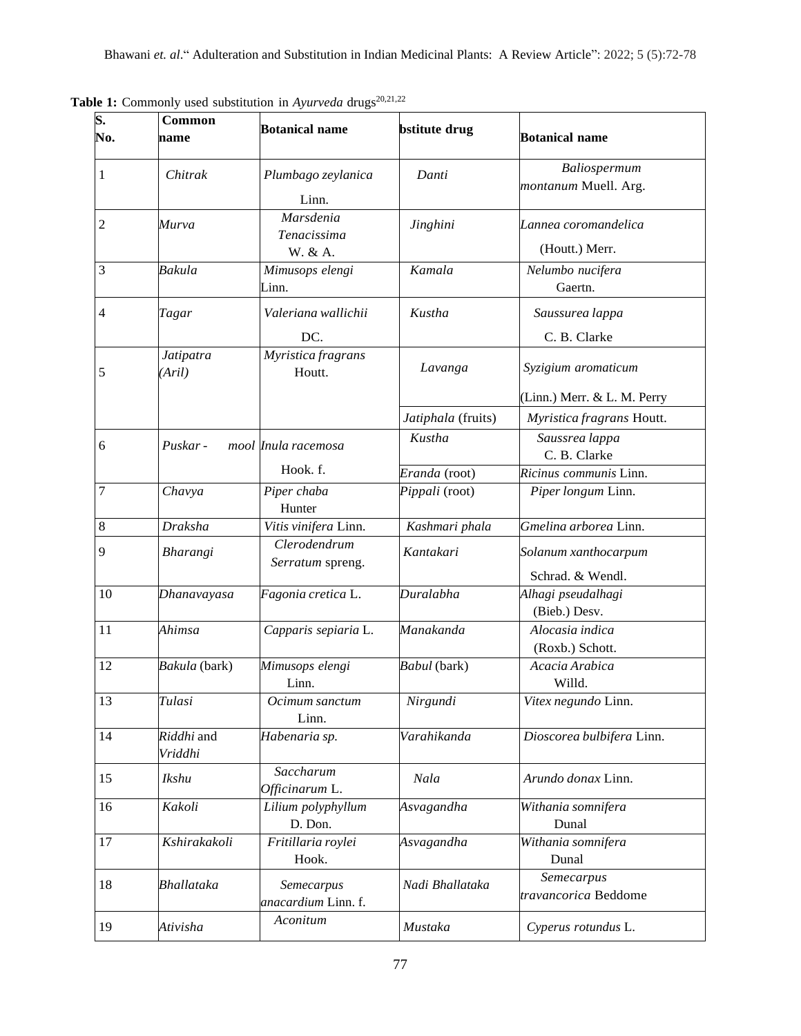| $\overline{\mathbf{S}}$ .<br>No. | Common<br>name        | <b>Botanical name</b>               | <b>bstitute</b> drug            | <b>Botanical name</b>                                    |
|----------------------------------|-----------------------|-------------------------------------|---------------------------------|----------------------------------------------------------|
| 1                                | Chitrak               | Plumbago zeylanica<br>Linn.         | Danti                           | Baliospermum<br>montanum Muell. Arg.                     |
| $\mathfrak{2}$                   | Murva                 | Marsdenia<br>Tenacissima            | Jinghini                        | Lannea coromandelica<br>(Houtt.) Merr.                   |
| 3                                | Bakula                | W. & A.<br>Mimusops elengi<br>Linn. | Kamala                          | Nelumbo nucifera<br>Gaertn.                              |
| $\overline{4}$                   | Tagar                 | Valeriana wallichii<br>DC.          | Kustha                          | Saussurea lappa<br>C. B. Clarke                          |
| 5                                | Jatipatra<br>(Aril)   | Myristica fragrans<br>Houtt.        | Lavanga                         | Syzigium aromaticum                                      |
|                                  |                       |                                     | Jatiphala (fruits)              | (Linn.) Merr. & L. M. Perry<br>Myristica fragrans Houtt. |
| 6                                | Puskar -              | mool Inula racemosa                 | Kustha                          | Saussrea lappa<br>C. B. Clarke                           |
| $\overline{7}$                   | Chavya                | Hook. f.<br>Piper chaba<br>Hunter   | Eranda (root)<br>Pippali (root) | Ricinus communis Linn.<br>Piper longum Linn.             |
| 8                                | <b>Draksha</b>        | Vitis vinifera Linn.                | Kashmari phala                  | Gmelina arborea Linn.                                    |
| 9                                | Bharangi              | Clerodendrum<br>Serratum spreng.    | Kantakari                       | Solanum xanthocarpum<br>Schrad. & Wendl.                 |
| 10                               | Dhanavayasa           | Fagonia cretica L.                  | Duralabha                       | Alhagi pseudalhagi<br>(Bieb.) Desv.                      |
| 11                               | Ahimsa                | Capparis sepiaria L.                | Manakanda                       | Alocasia indica<br>(Roxb.) Schott.                       |
| 12                               | Bakula (bark)         | Mimusops elengi<br>Linn.            | Babul (bark)                    | Acacia Arabica<br>Willd.                                 |
| 13                               | Tulasi                | Ocimum sanctum<br>Linn.             | Nirgundi                        | Vitex negundo Linn.                                      |
| 14                               | Riddhi and<br>Vriddhi | Habenaria sp.                       | Varahikanda                     | Dioscorea bulbifera Linn.                                |
| 15                               | Ikshu                 | Saccharum<br>Officinarum L.         | Nala                            | Arundo donax Linn.                                       |
| 16                               | Kakoli                | Lilium polyphyllum<br>D. Don.       | Asvagandha                      | Withania somnifera<br>Dunal                              |
| 17                               | Kshirakakoli          | Fritillaria roylei<br>Hook.         | Asvagandha                      | Withania somnifera<br>Dunal                              |
| 18                               | <b>Bhallataka</b>     | Semecarpus<br>anacardium Linn. f.   | Nadi Bhallataka                 | Semecarpus<br>travancorica Beddome                       |
| 19                               | Ativisha              | Aconitum                            | Mustaka                         | Cyperus rotundus L.                                      |

**Table 1:** Commonly used substitution in *Ayurveda* drugs<sup>20,21,22</sup>